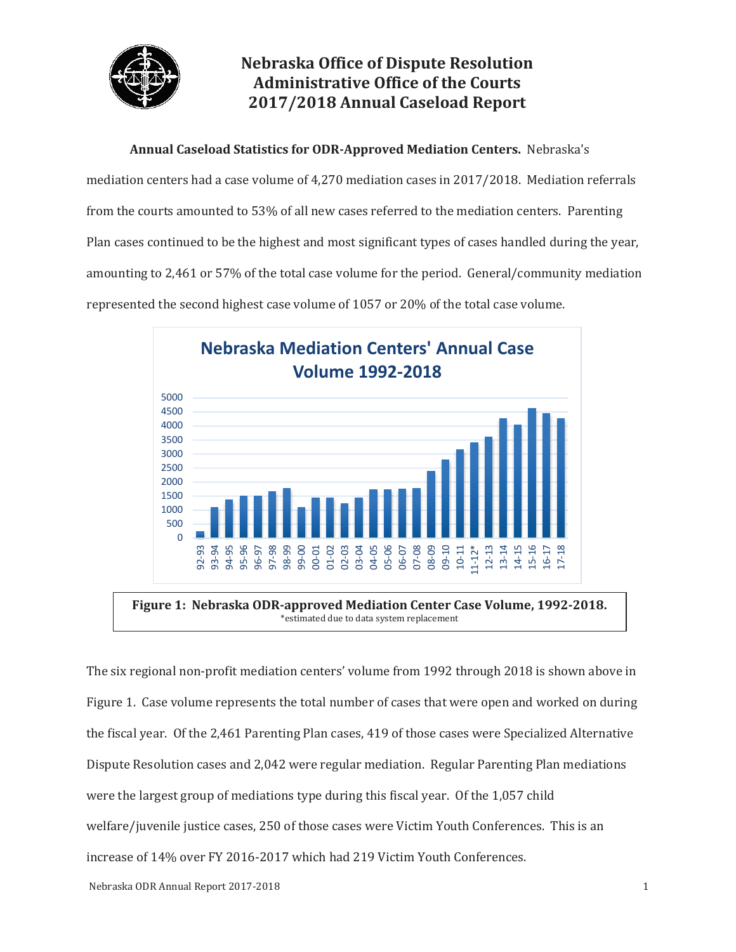

# **Nebraska Office of Dispute Resolution Administrative Office of the Courts 2017/2018 Annual Caseload Report**

**Annual Caseload Statistics for ODR-Approved Mediation Centers.** Nebraska's

mediation centers had a case volume of 4,270 mediation cases in 2017/2018. Mediation referrals

from the courts amounted to 53% of all new cases referred to the mediation centers. Parenting

Plan cases continued to be the highest and most significant types of cases handled during the year,

amounting to 2,461 or 57% of the total case volume for the period. General/community mediation

represented the second highest case volume of 1057 or 20% of the total case volume.



**Figure 1: Nebraska ODR-approved Mediation Center Case Volume, 1992-2018.** \*estimated due to data system replacement

The six regional non-profit mediation centers' volume from 1992 through 2018 is shown above in Figure 1. Case volume represents the total number of cases that were open and worked on during the fiscal year. Of the 2,461 Parenting Plan cases, 419 of those cases were Specialized Alternative Dispute Resolution cases and 2,042 were regular mediation. Regular Parenting Plan mediations were the largest group of mediations type during this fiscal year. Of the 1,057 child welfare/juvenile justice cases, 250 of those cases were Victim Youth Conferences. This is an increase of 14% over FY 2016-2017 which had 219 Victim Youth Conferences.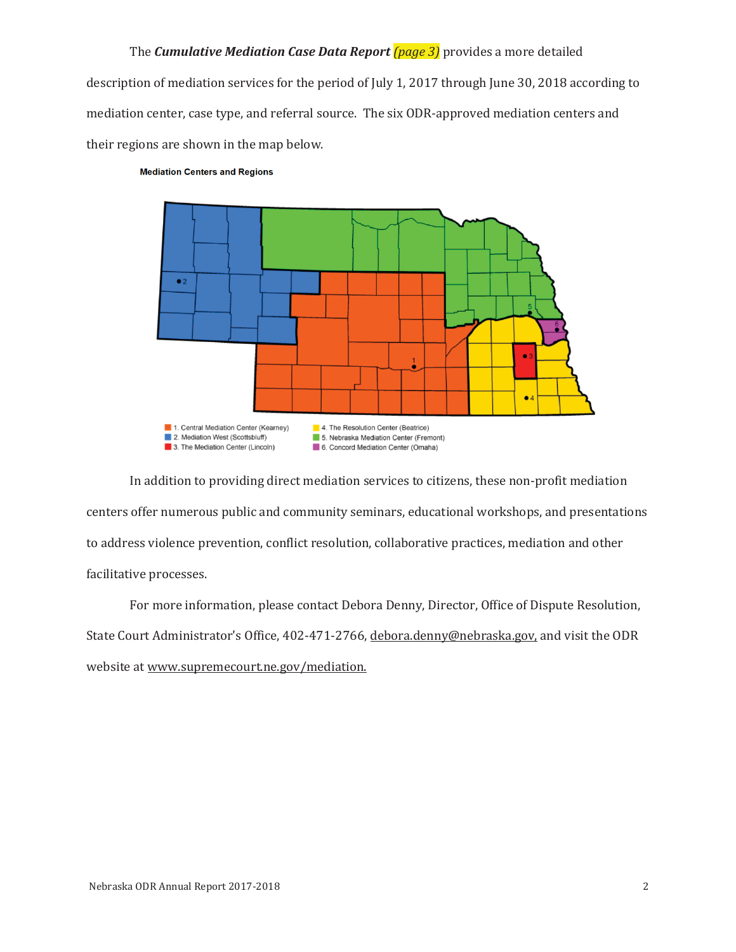## The *Cumulative Mediation Case Data Report (page 3)* provides a more detailed

description of mediation services for the period of July 1, 2017 through June 30, 2018 according to mediation center, case type, and referral source. The six ODR-approved mediation centers and their regions are shown in the map below.

#### **Mediation Centers and Regions**



 In addition to providing direct mediation services to citizens, these non-profit mediation centers offer numerous public and community seminars, educational workshops, and presentations to address violence prevention, conflict resolution, collaborative practices, mediation and other facilitative processes.

For more information, please contact Debora Denny, Director, Office of Dispute Resolution, State Court Administrator's Office, 402-471-2766, debora.denny@nebraska.gov, and visit the ODR website at www.supremecourt.ne.gov/mediation.